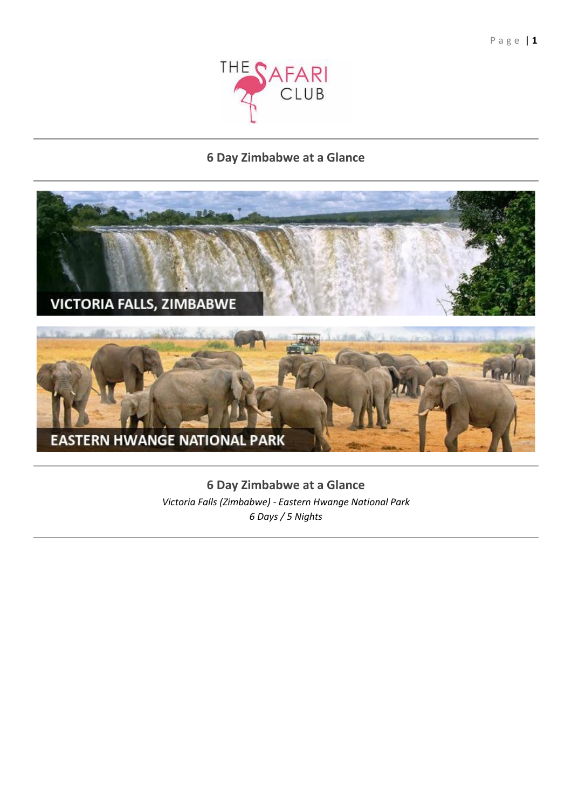

# **6 Day Zimbabwe at a Glance**



**6 Day Zimbabwe at a Glance** *Victoria Falls (Zimbabwe) - Eastern Hwange National Park 6 Days / 5 Nights*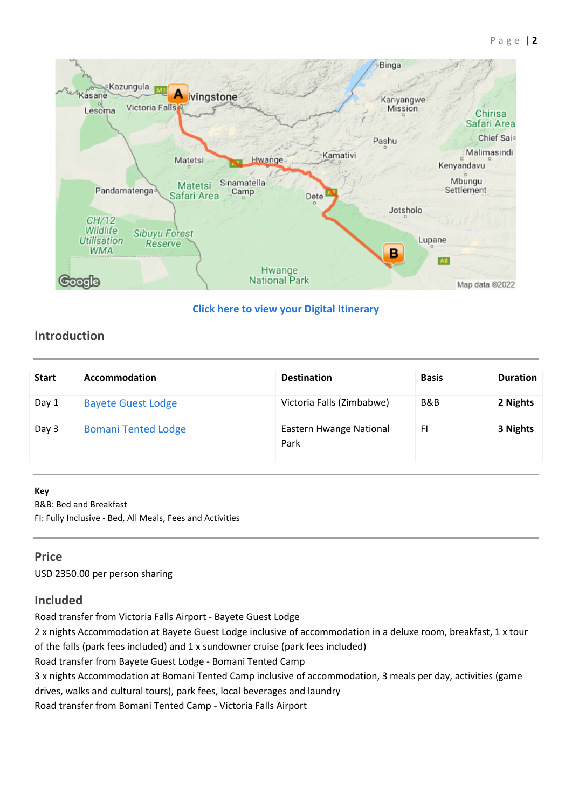

## **[Click here to view your Digital Itinerary](https://wetu.com/Itinerary/Landing/DA99DAFD-417A-4562-AD05-FF82A00DADC5)**

# **Introduction**

| <b>Start</b> | Accommodation              | <b>Destination</b>              | <b>Basis</b> | <b>Duration</b> |
|--------------|----------------------------|---------------------------------|--------------|-----------------|
| Day 1        | <b>Bayete Guest Lodge</b>  | Victoria Falls (Zimbabwe)       | B&B          | 2 Nights        |
| Day 3        | <b>Bomani Tented Lodge</b> | Eastern Hwange National<br>Park | FI           | 3 Nights        |

### **Key**

B&B: Bed and Breakfast

FI: Fully Inclusive - Bed, All Meals, Fees and Activities

## **Price**

USD 2350.00 per person sharing

# **Included**

Road transfer from Victoria Falls Airport - Bayete Guest Lodge

2 x nights Accommodation at Bayete Guest Lodge inclusive of accommodation in a deluxe room, breakfast, 1 x tour of the falls (park fees included) and 1 x sundowner cruise (park fees included)

Road transfer from Bayete Guest Lodge - Bomani Tented Camp

3 x nights Accommodation at Bomani Tented Camp inclusive of accommodation, 3 meals per day, activities (game

drives, walks and cultural tours), park fees, local beverages and laundry

Road transfer from Bomani Tented Camp - Victoria Falls Airport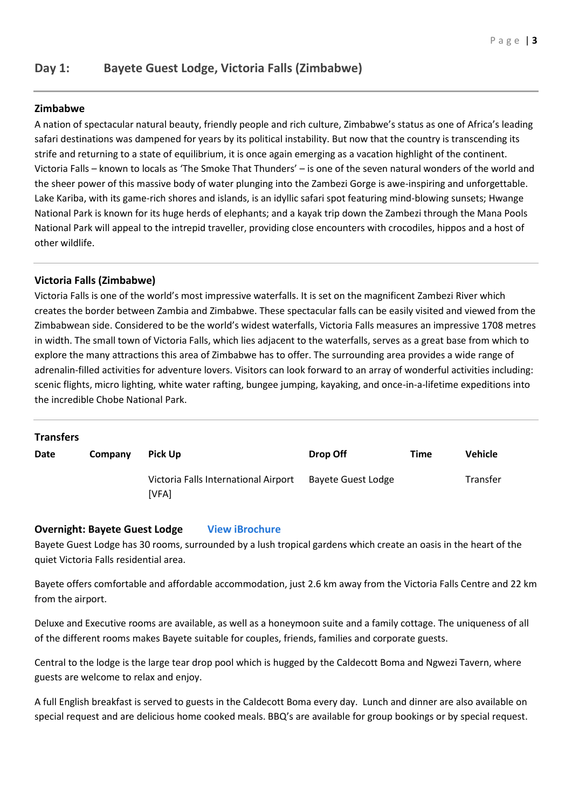## **Zimbabwe**

A nation of spectacular natural beauty, friendly people and rich culture, Zimbabwe's status as one of Africa's leading safari destinations was dampened for years by its political instability. But now that the country is transcending its strife and returning to a state of equilibrium, it is once again emerging as a vacation highlight of the continent. Victoria Falls – known to locals as 'The Smoke That Thunders' – is one of the seven natural wonders of the world and the sheer power of this massive body of water plunging into the Zambezi Gorge is awe-inspiring and unforgettable. Lake Kariba, with its game-rich shores and islands, is an idyllic safari spot featuring mind-blowing sunsets; Hwange National Park is known for its huge herds of elephants; and a kayak trip down the Zambezi through the Mana Pools National Park will appeal to the intrepid traveller, providing close encounters with crocodiles, hippos and a host of other wildlife.

## **Victoria Falls (Zimbabwe)**

Victoria Falls is one of the world's most impressive waterfalls. It is set on the magnificent Zambezi River which creates the border between Zambia and Zimbabwe. These spectacular falls can be easily visited and viewed from the Zimbabwean side. Considered to be the world's widest waterfalls, Victoria Falls measures an impressive 1708 metres in width. The small town of Victoria Falls, which lies adjacent to the waterfalls, serves as a great base from which to explore the many attractions this area of Zimbabwe has to offer. The surrounding area provides a wide range of adrenalin-filled activities for adventure lovers. Visitors can look forward to an array of wonderful activities including: scenic flights, micro lighting, white water rafting, bungee jumping, kayaking, and once-in-a-lifetime expeditions into the incredible Chobe National Park.

### **Transfers**

| Date | Company | <b>Pick Up</b>                                | Drop Off           | Time | <b>Vehicle</b>  |
|------|---------|-----------------------------------------------|--------------------|------|-----------------|
|      |         | Victoria Falls International Airport<br>[VFA] | Bayete Guest Lodge |      | <b>Transfer</b> |

## **Overnight: Bayete Guest Lodge [View iBrochure](https://wetu.com/iBrochure/6585_19669_54165)**

Bayete Guest Lodge has 30 rooms, surrounded by a lush tropical gardens which create an oasis in the heart of the quiet Victoria Falls residential area.

Bayete offers comfortable and affordable accommodation, just 2.6 km away from the Victoria Falls Centre and 22 km from the airport.

Deluxe and Executive rooms are available, as well as a honeymoon suite and a family cottage. The uniqueness of all of the different rooms makes Bayete suitable for couples, friends, families and corporate guests.

Central to the lodge is the large tear drop pool which is hugged by the Caldecott Boma and Ngwezi Tavern, where guests are welcome to relax and enjoy.

A full English breakfast is served to guests in the Caldecott Boma every day. Lunch and dinner are also available on special request and are delicious home cooked meals. BBQ's are available for group bookings or by special request.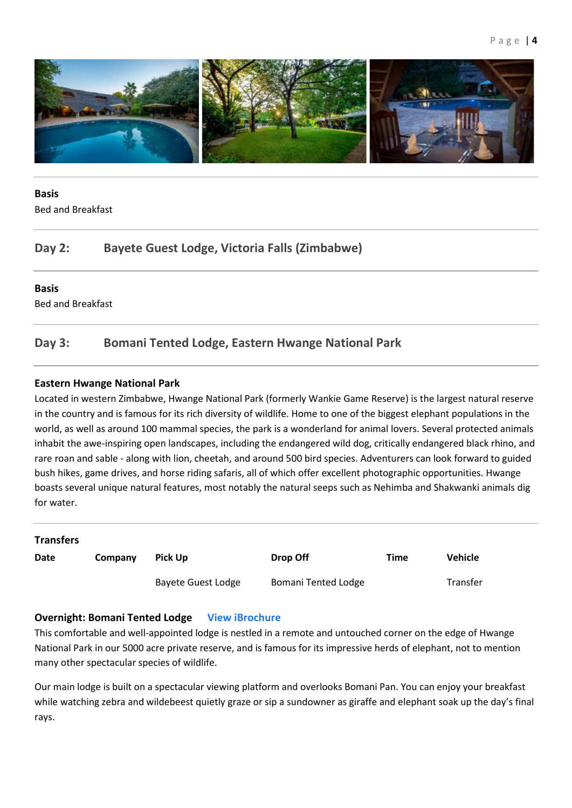

# **Basis**

Bed and Breakfast

# **Day 2: Bayete Guest Lodge, Victoria Falls (Zimbabwe)**

## **Basis**

Bed and Breakfast

# **Day 3: Bomani Tented Lodge, Eastern Hwange National Park**

## **Eastern Hwange National Park**

Located in western Zimbabwe, Hwange National Park (formerly Wankie Game Reserve) is the largest natural reserve in the country and is famous for its rich diversity of wildlife. Home to one of the biggest elephant populations in the world, as well as around 100 mammal species, the park is a wonderland for animal lovers. Several protected animals inhabit the awe-inspiring open landscapes, including the endangered wild dog, critically endangered black rhino, and rare roan and sable - along with lion, cheetah, and around 500 bird species. Adventurers can look forward to guided bush hikes, game drives, and horse riding safaris, all of which offer excellent photographic opportunities. Hwange boasts several unique natural features, most notably the natural seeps such as Nehimba and Shakwanki animals dig for water.

| <b>Transfers</b> |         |                           |                            |      |                |
|------------------|---------|---------------------------|----------------------------|------|----------------|
| <b>Date</b>      | Company | <b>Pick Up</b>            | Drop Off                   | Time | <b>Vehicle</b> |
|                  |         | <b>Bayete Guest Lodge</b> | <b>Bomani Tented Lodge</b> |      | Transfer       |

## **Overnight: Bomani Tented Lodge [View iBrochure](https://wetu.com/iBrochure/6585_19669_28575)**

This comfortable and well-appointed lodge is nestled in a remote and untouched corner on the edge of Hwange National Park in our 5000 acre private reserve, and is famous for its impressive herds of elephant, not to mention many other spectacular species of wildlife.

Our main lodge is built on a spectacular viewing platform and overlooks Bomani Pan. You can enjoy your breakfast while watching zebra and wildebeest quietly graze or sip a sundowner as giraffe and elephant soak up the day's final rays.